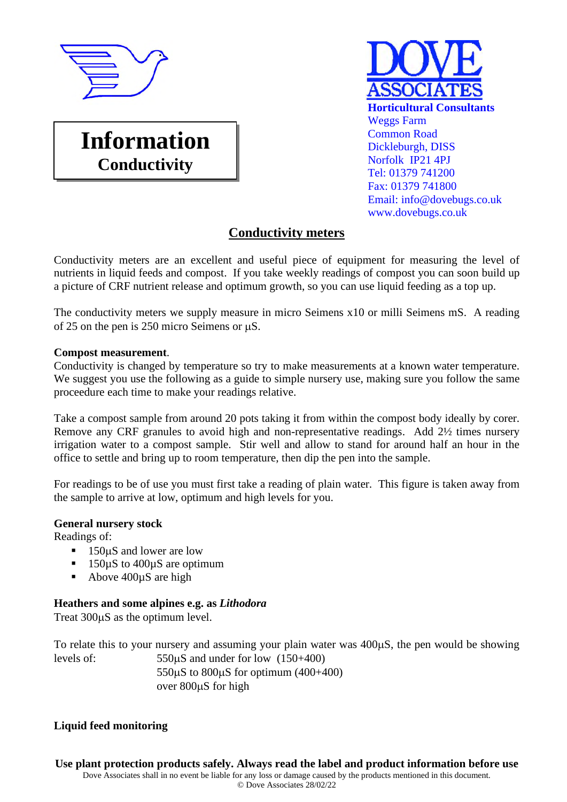

**Information** 

**Conductivity** 

# **Horticultural Consultants** Weggs Farm Common Road Dickleburgh, DISS Norfolk IP21 4PJ Tel: 01379 741200 Fax: 01379 741800 Email: info@dovebugs.co.uk www.dovebugs.co.uk

## **Conductivity meters**

Conductivity meters are an excellent and useful piece of equipment for measuring the level of nutrients in liquid feeds and compost. If you take weekly readings of compost you can soon build up a picture of CRF nutrient release and optimum growth, so you can use liquid feeding as a top up.

The conductivity meters we supply measure in micro Seimens x10 or milli Seimens mS. A reading of 25 on the pen is 250 micro Seimens or  $\mu$ S.

#### **Compost measurement**.

Conductivity is changed by temperature so try to make measurements at a known water temperature. We suggest you use the following as a guide to simple nursery use, making sure you follow the same proceedure each time to make your readings relative.

Take a compost sample from around 20 pots taking it from within the compost body ideally by corer. Remove any CRF granules to avoid high and non-representative readings. Add 2½ times nursery irrigation water to a compost sample. Stir well and allow to stand for around half an hour in the office to settle and bring up to room temperature, then dip the pen into the sample.

For readings to be of use you must first take a reading of plain water. This figure is taken away from the sample to arrive at low, optimum and high levels for you.

### **General nursery stock**

Readings of:

- $\blacksquare$  150 $\upmu$ S and lower are low
- 150µS to 400µS are optimum
- Above 400µS are high

### **Heathers and some alpines e.g. as** *Lithodora*

Treat  $300\mu S$  as the optimum level.

To relate this to your nursery and assuming your plain water was  $400\mu S$ , the pen would be showing levels of:  $550\mu S$  and under for low  $(150+400)$ 550 $\mu$ S to 800 $\mu$ S for optimum (400+400) over 800uS for high

### **Liquid feed monitoring**